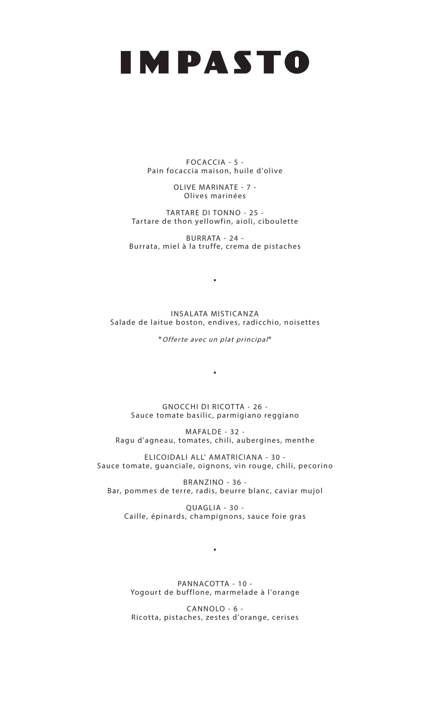## IMPASTO

FOCACCIA - 5 - Pain focaccia maison, huile d'olive

> OLIVE MARINATE - 7 - Olives marinées

TARTARE DI TONNO - 25 - Tartare de thon yellowfin, aioli, ciboulette

BURRATA - 24 - Burrata, miel à la truffe, crema de pistaches

INSALATA MISTICANZA Salade de laitue boston, endives, radicchio, noisettes

•

\*Offerte avec un plat principal\*

•

GNOCCHI DI RICOTTA - 26 -Sauce tomate basilic, parmigiano reggiano

MAFALDE - 32 - Ragu d'agneau, tomates, chili, aubergines, menthe

ELICOIDALI ALL' AMATRICIANA - 30 - Sauce tomate, guanciale, oignons, vin rouge, chili, pecorino

BRANZINO - 36 - Bar, pommes de terre, radis, beurre blanc, caviar mujol

QUAGLIA - 30 - Caille, épinards, champignons, sauce foie gras

•

PANNACOTTA - 10 -Yogourt de bufflone, marmelade à l'orange

CANNOLO - 6 - Ricotta, pistaches, zestes d'orange, cerises